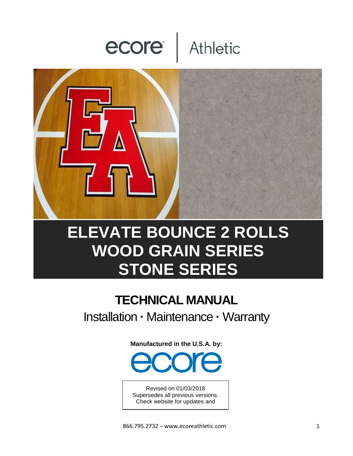# ecore Athletic



# **ELEVATE BOUNCE 2 ROLLS WOOD GRAIN SERIES STONE SERIES**

# **TECHNICAL MANUAL** Installation **·** Maintenance **·** Warranty

**Manufactured in the U.S.A. by:**



Revised on 01/03/2018 Supersedes all previous versions. Check website for updates and

current version.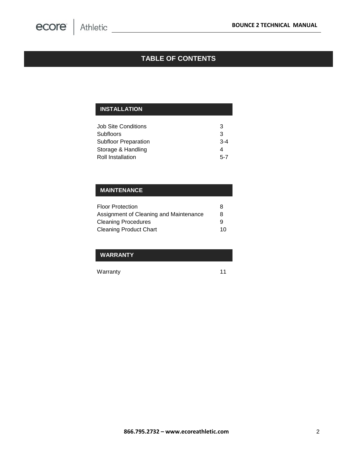# **TABLE OF CONTENTS**

# **INSTALLATION**

| 3       |
|---------|
| 3       |
| $3 - 4$ |
| 4       |
| $5 - 7$ |
|         |

#### **MAINTENANCE**

| <b>Floor Protection</b>                | 8  |
|----------------------------------------|----|
| Assignment of Cleaning and Maintenance | 8  |
| <b>Cleaning Procedures</b>             | g  |
| <b>Cleaning Product Chart</b>          | 10 |

#### **WARRANTY**

Warranty 11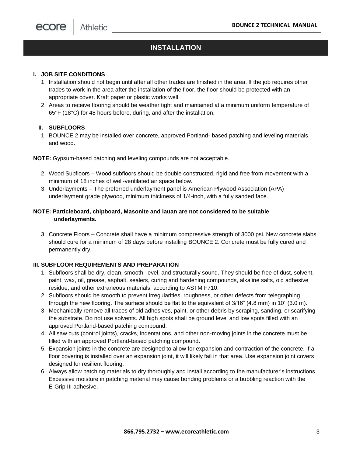#### **I. JOB SITE CONDITIONS**

- 1. Installation should not begin until after all other trades are finished in the area. If the job requires other trades to work in the area after the installation of the floor, the floor should be protected with an appropriate cover. Kraft paper or plastic works well.
- 2. Areas to receive flooring should be weather tight and maintained at a minimum uniform temperature of 65°F (18°C) for 48 hours before, during, and after the installation.

#### **II. SUBFLOORS**

1. BOUNCE 2 may be installed over concrete, approved Portland- based patching and leveling materials, and wood.

**NOTE:** Gypsum-based patching and leveling compounds are not acceptable.

- 2. Wood Subfloors Wood subfloors should be double constructed, rigid and free from movement with a minimum of 18 inches of well-ventilated air space below.
- 3. Underlayments The preferred underlayment panel is American Plywood Association (APA) underlayment grade plywood, minimum thickness of 1/4-inch, with a fully sanded face.

#### **NOTE: Particleboard, chipboard, Masonite and lauan are not considered to be suitable underlayments.**

3. Concrete Floors – Concrete shall have a minimum compressive strength of 3000 psi. New concrete slabs should cure for a minimum of 28 days before installing BOUNCE 2. Concrete must be fully cured and permanently dry.

#### **III. SUBFLOOR REQUIREMENTS AND PREPARATION**

- 1. Subfloors shall be dry, clean, smooth, level, and structurally sound. They should be free of dust, solvent, paint, wax, oil, grease, asphalt, sealers, curing and hardening compounds, alkaline salts, old adhesive residue, and other extraneous materials, according to ASTM F710.
- 2. Subfloors should be smooth to prevent irregularities, roughness, or other defects from telegraphing through the new flooring. The surface should be flat to the equivalent of 3/16˝ (4.8 mm) in 10´ (3.0 m).
- 3. Mechanically remove all traces of old adhesives, paint, or other debris by scraping, sanding, or scarifying the substrate. Do not use solvents. All high spots shall be ground level and low spots filled with an approved Portland-based patching compound.
- 4. All saw cuts (control joints), cracks, indentations, and other non-moving joints in the concrete must be filled with an approved Portland-based patching compound.
- 5. Expansion joints in the concrete are designed to allow for expansion and contraction of the concrete. If a floor covering is installed over an expansion joint, it will likely fail in that area. Use expansion joint covers designed for resilient flooring.
- 6. Always allow patching materials to dry thoroughly and install according to the manufacturer's instructions. Excessive moisture in patching material may cause bonding problems or a bubbling reaction with the E-Grip III adhesive.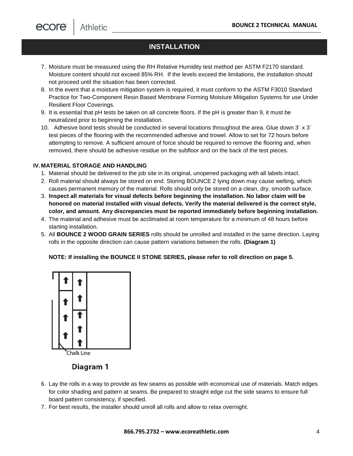- 7. Moisture must be measured using the RH Relative Humidity test method per ASTM F2170 standard. Moisture content should not exceed 85% RH. If the levels exceed the limitations, the installation should not proceed until the situation has been corrected.
- 8. In the event that a moisture mitigation system is required, it must conform to the ASTM F3010 Standard Practice for Two-Component Resin Based Membrane Forming Moisture Mitigation Systems for use Under Resilient Floor Coverings.
- 9. It is essential that pH tests be taken on all concrete floors. If the pH is greater than 9, it must be neutralized prior to beginning the installation.
- 10. Adhesive bond tests should be conducted in several locations throughout the area. Glue down  $3' \times 3'$ test pieces of the flooring with the recommended adhesive and trowel. Allow to set for 72 hours before attempting to remove. A sufficient amount of force should be required to remove the flooring and, when removed, there should be adhesive residue on the subfloor and on the back of the test pieces.

#### **IV. MATERIAL STORAGE AND HANDLING**

- 1. Material should be delivered to the job site in its original, unopened packaging with all labels intact.
- 2. Roll material should always be stored on end. Storing BOUNCE 2 lying down may cause welting, which causes permanent memory of the material. Rolls should only be stored on a clean, dry, smooth surface.
- 3. **Inspect all materials for visual defects before beginning the installation. No labor claim will be honored on material installed with visual defects. Verify the material delivered is the correct style, color, and amount. Any discrepancies must be reported immediately before beginning installation.**
- 4. The material and adhesive must be acclimated at room temperature for a minimum of 48 hours before starting installation.
- 5. All **BOUNCE 2 WOOD GRAIN SERIES** rolls should be unrolled and installed in the same direction. Laying rolls in the opposite direction can cause pattern variations between the rolls. **(Diagram 1)**

#### **NOTE: If installing the BOUNCE II STONE SERIES, please refer to roll direction on page 5.**



#### Diagram 1

- 6. Lay the rolls in a way to provide as few seams as possible with economical use of materials. Match edges for color shading and pattern at seams. Be prepared to straight edge cut the side seams to ensure full board pattern consistency, if specified.
- 7. For best results, the installer should unroll all rolls and allow to relax overnight.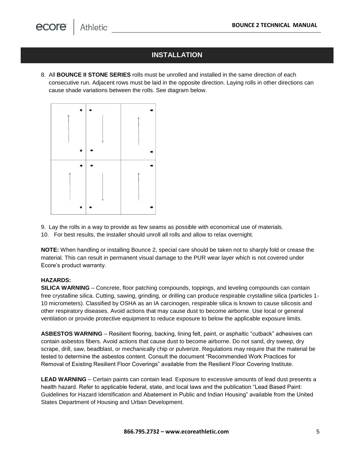**Athletic** 

# **INSTALLATION**

8. All **BOUNCE II STONE SERIES** rolls must be unrolled and installed in the same direction of each consecutive run. Adjacent rows must be laid in the opposite direction. Laying rolls in other directions can cause shade variations between the rolls. See diagram below.



9. Lay the rolls in a way to provide as few seams as possible with economical use of materials. 10. For best results, the installer should unroll all rolls and allow to relax overnight.

**NOTE:** When handling or installing Bounce 2, special care should be taken not to sharply fold or crease the material. This can result in permanent visual damage to the PUR wear layer which is not covered under Ecore's product warranty.

#### **HAZARDS:**

**SILICA WARNING** – Concrete, floor patching compounds, toppings, and leveling compounds can contain free crystalline silica. Cutting, sawing, grinding, or drilling can produce respirable crystalline silica (particles 1- 10 micrometers). Classified by OSHA as an IA carcinogen, respirable silica is known to cause silicosis and other respiratory diseases. Avoid actions that may cause dust to become airborne. Use local or general ventilation or provide protective equipment to reduce exposure to below the applicable exposure limits.

**ASBESTOS WARNING** – Resilient flooring, backing, lining felt, paint, or asphaltic "cutback" adhesives can contain asbestos fibers. Avoid actions that cause dust to become airborne. Do not sand, dry sweep, dry scrape, drill, saw, beadblast, or mechanically chip or pulverize. Regulations may require that the material be tested to determine the asbestos content. Consult the document "Recommended Work Practices for Removal of Existing Resilient Floor Coverings" available from the Resilient Floor Covering Institute.

**LEAD WARNING** – Certain paints can contain lead. Exposure to excessive amounts of lead dust presents a health hazard. Refer to applicable federal, state, and local laws and the publication "Lead Based Paint: Guidelines for Hazard Identification and Abatement in Public and Indian Housing" available from the United States Department of Housing and Urban Development.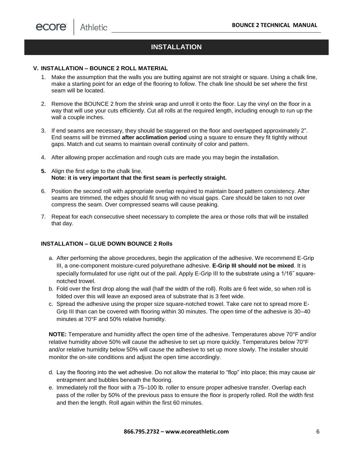#### **V. INSTALLATION – BOUNCE 2 ROLL MATERIAL**

- 1. Make the assumption that the walls you are butting against are not straight or square. Using a chalk line, make a starting point for an edge of the flooring to follow. The chalk line should be set where the first seam will be located.
- 2. Remove the BOUNCE 2 from the shrink wrap and unroll it onto the floor. Lay the vinyl on the floor in a way that will use your cuts efficiently. Cut all rolls at the required length, including enough to run up the wall a couple inches.
- 3. If end seams are necessary, they should be staggered on the floor and overlapped approximately 2". End seams will be trimmed **after acclimation period** using a square to ensure they fit tightly without gaps. Match and cut seams to maintain overall continuity of color and pattern.
- 4. After allowing proper acclimation and rough cuts are made you may begin the installation.
- **5.** Align the first edge to the chalk line. **Note: it is very important that the first seam is perfectly straight.**
- 6. Position the second roll with appropriate overlap required to maintain board pattern consistency. After seams are trimmed, the edges should fit snug with no visual gaps. Care should be taken to not over compress the seam. Over compressed seams will cause peaking.
- 7. Repeat for each consecutive sheet necessary to complete the area or those rolls that will be installed that day.

#### **INSTALLATION – GLUE DOWN BOUNCE 2 Rolls**

- a. After performing the above procedures, begin the application of the adhesive. We recommend E-Grip III, a one-component moisture-cured polyurethane adhesive. **E-Grip III should not be mixed**. It is specially formulated for use right out of the pail. Apply E-Grip III to the substrate using a 1/16<sup>"</sup> squarenotched trowel.
- b. Fold over the first drop along the wall (half the width of the roll). Rolls are 6 feet wide, so when roll is folded over this will leave an exposed area of substrate that is 3 feet wide.
- c. Spread the adhesive using the proper size square-notched trowel. Take care not to spread more E-Grip III than can be covered with flooring within 30 minutes. The open time of the adhesive is 30–40 minutes at 70°F and 50% relative humidity.

**NOTE:** Temperature and humidity affect the open time of the adhesive. Temperatures above 70°F and/or relative humidity above 50% will cause the adhesive to set up more quickly. Temperatures below 70°F and/or relative humidity below 50% will cause the adhesive to set up more slowly. The installer should monitor the on-site conditions and adjust the open time accordingly.

- d. Lay the flooring into the wet adhesive. Do not allow the material to "flop" into place; this may cause air entrapment and bubbles beneath the flooring.
- e. Immediately roll the floor with a 75–100 lb. roller to ensure proper adhesive transfer. Overlap each pass of the roller by 50% of the previous pass to ensure the floor is properly rolled. Roll the width first and then the length. Roll again within the first 60 minutes.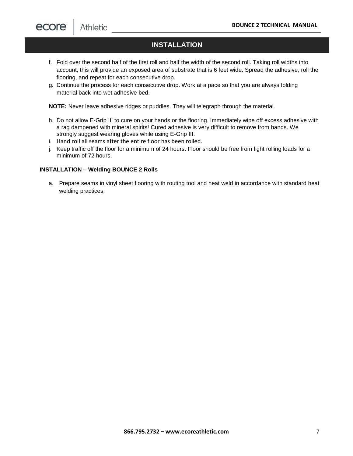- f. Fold over the second half of the first roll and half the width of the second roll. Taking roll widths into account, this will provide an exposed area of substrate that is 6 feet wide. Spread the adhesive, roll the flooring, and repeat for each consecutive drop.
- g. Continue the process for each consecutive drop. Work at a pace so that you are always folding material back into wet adhesive bed.

**NOTE:** Never leave adhesive ridges or puddles. They will telegraph through the material.

- h. Do not allow E-Grip III to cure on your hands or the flooring. Immediately wipe off excess adhesive with a rag dampened with mineral spirits! Cured adhesive is very difficult to remove from hands. We strongly suggest wearing gloves while using E-Grip III.
- i. Hand roll all seams after the entire floor has been rolled.
- i. Keep traffic off the floor for a minimum of 24 hours. Floor should be free from light rolling loads for a minimum of 72 hours.

#### **INSTALLATION – Welding BOUNCE 2 Rolls**

a. Prepare seams in vinyl sheet flooring with routing tool and heat weld in accordance with standard heat welding practices.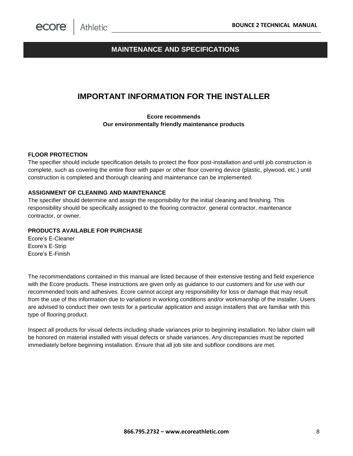### **MAINTENANCE AND SPECIFICATIONS**

# **IMPORTANT INFORMATION FOR THE INSTALLER**

**Ecore recommends Our environmentally friendly maintenance products**

#### **FLOOR PROTECTION**

The specifier should include specification details to protect the floor post-installation and until job construction is complete, such as covering the entire floor with paper or other floor covering device (plastic, plywood, etc.) until construction is completed and thorough cleaning and maintenance can be implemented.

#### **ASSIGNMENT OF CLEANING AND MAINTENANCE**

The specifier should determine and assign the responsibility for the initial cleaning and finishing. This responsibility should be specifically assigned to the flooring contractor, general contractor, maintenance contractor, or owner.

#### **PRODUCTS AVAILABLE FOR PURCHASE**

Ecore's E-Cleaner Ecore's E-Strip Ecore's E-Finish

The recommendations contained in this manual are listed because of their extensive testing and field experience with the Ecore products. These instructions are given only as guidance to our customers and for use with our recommended tools and adhesives. Ecore cannot accept any responsibility for loss or damage that may result from the use of this information due to variations in working conditions and/or workmanship of the installer. Users are advised to conduct their own tests for a particular application and assign installers that are familiar with this type of flooring product.

Inspect all products for visual defects including shade variances prior to beginning installation. No labor claim will be honored on material installed with visual defects or shade variances. Any discrepancies must be reported immediately before beginning installation. Ensure that all job site and subfloor conditions are met.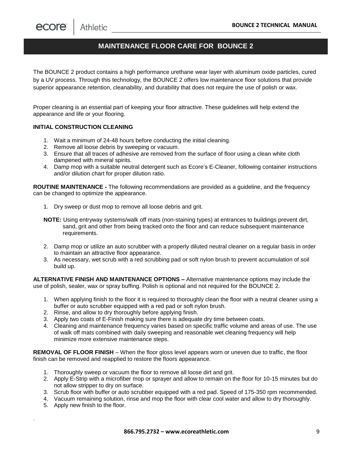ecore Athletic

# **MAINTENANCE FLOOR CARE FOR BOUNCE 2**

The BOUNCE 2 product contains a high performance urethane wear layer with aluminum oxide particles, cured by a UV process. Through this technology, the BOUNCE 2 offers low maintenance floor solutions that provide superior appearance retention, cleanability, and durability that does not require the use of polish or wax.

Proper cleaning is an essential part of keeping your floor attractive. These guidelines will help extend the appearance and life or your flooring.

#### **INITIAL CONSTRUCTION CLEANING**

- 1. Wait a minimum of 24-48 hours before conducting the initial cleaning.
- 2. Remove all loose debris by sweeping or vacuum.
- 3. Ensure that all traces of adhesive are removed from the surface of floor using a clean white cloth dampened with mineral spirits.
- 4. Damp mop with a suitable neutral detergent such as Ecore's E-Cleaner, following container instructions and/or dilution chart for proper dilution ratio.

**ROUTINE MAINTENANCE -** The following recommendations are provided as a guideline, and the frequency can be changed to optimize the appearance.

- 1. Dry sweep or dust mop to remove all loose debris and grit.
- **NOTE:** Using entryway systems/walk off mats (non-staining types) at entrances to buildings prevent dirt, sand, grit and other from being tracked onto the floor and can reduce subsequent maintenance requirements.
- 2. Damp mop or utilize an auto scrubber with a properly diluted neutral cleaner on a regular basis in order to maintain an attractive floor appearance.
- 3. As necessary, wet scrub with a red scrubbing pad or soft nylon brush to prevent accumulation of soil build up.

**ALTERNATIVE FINISH AND MAINTENANCE OPTIONS –** Alternative maintenance options may include the use of polish, sealer, wax or spray buffing. Polish is optional and not required for the BOUNCE 2.

- 1. When applying finish to the floor it is required to thoroughly clean the floor with a neutral cleaner using a buffer or auto scrubber equipped with a red pad or soft nylon brush.
- 2. Rinse, and allow to dry thoroughly before applying finish.
- 3. Apply two coats of E-Finish making sure there is adequate dry time between coats.
- 4. Cleaning and maintenance frequency varies based on specific traffic volume and areas of use. The use of walk off mats combined with daily sweeping and reasonable wet cleaning frequency will help minimize more extensive maintenance steps.

**REMOVAL OF FLOOR FINISH** – When the floor gloss level appears worn or uneven due to traffic, the floor finish can be removed and reapplied to restore the floors appearance.

- 1. Thoroughly sweep or vacuum the floor to remove all loose dirt and grit.
- 2. Apply E-Strip with a microfiber mop or sprayer and allow to remain on the floor for 10-15 minutes but do not allow stripper to dry on surface.
- 3. Scrub floor with buffer or auto scrubber equipped with a red pad. Speed of 175-350 rpm recommended.
- 4. Vacuum remaining solution, rinse and mop the floor with clear cool water and allow to dry thoroughly.
- 5. Apply new finish to the floor.

.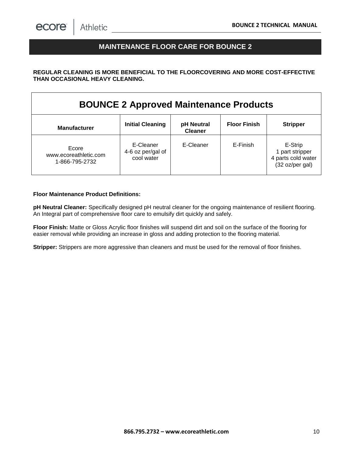## **MAINTENANCE FLOOR CARE FOR BOUNCE 2**

#### **REGULAR CLEANING IS MORE BENEFICIAL TO THE FLOORCOVERING AND MORE COST-EFFECTIVE THAN OCCASIONAL HEAVY CLEANING.**

| <b>BOUNCE 2 Approved Maintenance Products</b>    |                                              |                              |                     |                                                                     |  |  |
|--------------------------------------------------|----------------------------------------------|------------------------------|---------------------|---------------------------------------------------------------------|--|--|
| <b>Manufacturer</b>                              | <b>Initial Cleaning</b>                      | pH Neutral<br><b>Cleaner</b> | <b>Floor Finish</b> | <b>Stripper</b>                                                     |  |  |
| Ecore<br>www.ecoreathletic.com<br>1-866-795-2732 | E-Cleaner<br>4-6 oz per/gal of<br>cool water | E-Cleaner                    | E-Finish            | E-Strip<br>1 part stripper<br>4 parts cold water<br>(32 oz/per gal) |  |  |

#### **Floor Maintenance Product Definitions:**

**pH Neutral Cleaner:** Specifically designed pH neutral cleaner for the ongoing maintenance of resilient flooring. An Integral part of comprehensive floor care to emulsify dirt quickly and safely.

**Floor Finish:** Matte or Gloss Acrylic floor finishes will suspend dirt and soil on the surface of the flooring for easier removal while providing an increase in gloss and adding protection to the flooring material.

**Stripper:** Strippers are more aggressive than cleaners and must be used for the removal of floor finishes.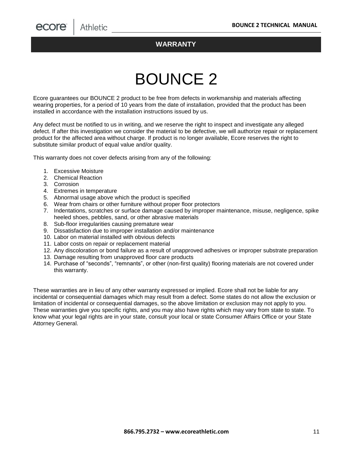#### **WARRANTY**

# BOUNCE 2

Ecore guarantees our BOUNCE 2 product to be free from defects in workmanship and materials affecting wearing properties, for a period of 10 years from the date of installation, provided that the product has been installed in accordance with the installation instructions issued by us.

Any defect must be notified to us in writing, and we reserve the right to inspect and investigate any alleged defect. If after this investigation we consider the material to be defective, we will authorize repair or replacement product for the affected area without charge. If product is no longer available, Ecore reserves the right to substitute similar product of equal value and/or quality.

This warranty does not cover defects arising from any of the following:

- 1. Excessive Moisture
- 2. Chemical Reaction
- 3. Corrosion
- 4. Extremes in temperature
- 5. Abnormal usage above which the product is specified
- 6. Wear from chairs or other furniture without proper floor protectors
- 7. Indentations, scratches or surface damage caused by improper maintenance, misuse, negligence, spike heeled shoes, pebbles, sand, or other abrasive materials
- 8. Sub-floor irregularities causing premature wear
- 9. Dissatisfaction due to improper installation and/or maintenance
- 10. Labor on material installed with obvious defects
- 11. Labor costs on repair or replacement material
- 12. Any discoloration or bond failure as a result of unapproved adhesives or improper substrate preparation
- 13. Damage resulting from unapproved floor care products
- 14. Purchase of "seconds", "remnants", or other (non-first quality) flooring materials are not covered under this warranty.

These warranties are in lieu of any other warranty expressed or implied. Ecore shall not be liable for any incidental or consequential damages which may result from a defect. Some states do not allow the exclusion or limitation of incidental or consequential damages, so the above limitation or exclusion may not apply to you. These warranties give you specific rights, and you may also have rights which may vary from state to state. To know what your legal rights are in your state, consult your local or state Consumer Affairs Office or your State Attorney General.